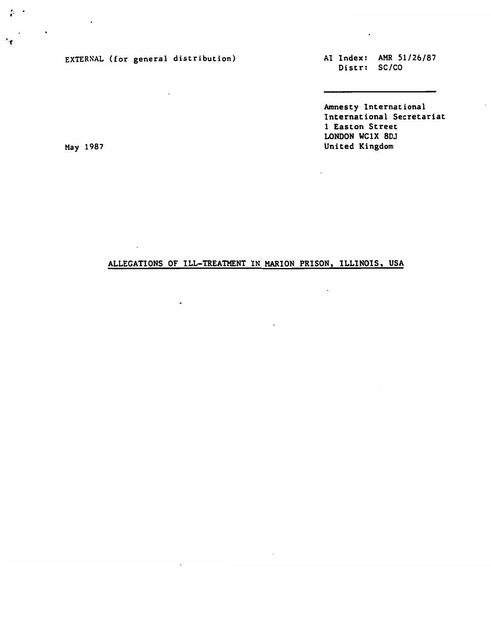EXTERNAL (for general distribution)

 $\bullet$ 

AI Index: AMR 51/26/87 Distr: SC/CO

 $\sim$   $\sim$ 

Amnesty International International Secretariat 1 Easton Street LONDON WC1X 8DJ United Kingdom

 $\ddot{\phantom{a}}$ 

 $\ddot{\phantom{a}}$ 

 $\ddot{\phantom{a}}$ 

May 1987

÷.

 $\mathbf{r}$ 

## ALLEGATIONS OF ILL-TREATMENT IN MARION PRISON, ILLINOIS, USA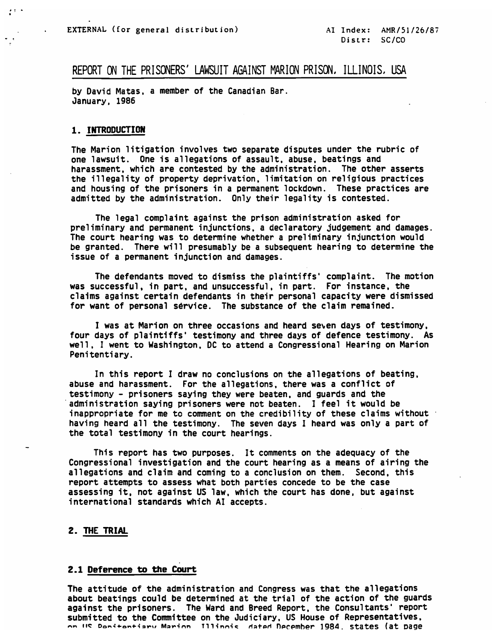## REPORT ON THE PRISONERS' LAWSUIT AGAINST MARION PRISON, ILLINOIS, USA

by David Matas, a member of the Canadian Bar. January, 1986

#### 1. INTRODUCTION

The Marion litigation involves two separate disputes under the rubric of one lawsuit. One is allegations of assault, abuse, beatings and harassment, which are contested by the administration. The other asserts the illegality of property deprivation, limitation on religious practices and housing of the prisoners in a permanent lockdown. These practices are admitted by the administration. Only their legality is contested.

The legal complaint against the prison administration asked for preliminary and permanent injunctions, a declaratory judgement and damages. The court hearing was to determine whether a preliminary injunction would be granted. There will presumably be a subsequent hearing to determine the issue of a permanent injunction and damages.

The defendants moved to dismiss the plaintiffs' complaint. The motion was successful, in part, and unsuccessful, in part. For instance, the claims against certain defendants in their personal capacity were dismissed for want of personal service. The substance of the claim remained.

I was at Marion on three occasions and heard seven days of testimony, four days of plaintiffs' testimony and three days of defence testimony. As well, I went to Washington, DC to attend a Congressional Hearing on Marion Penitentiary.

In this report I draw no conclusions on the allegations of beating, abuse and harassment. For the allegations, there was a conflict of testimony - prisoners saying they were beaten, and guards and the administration saying prisoners were not beaten. I feel it would be inappropriate for me to comment on the credibility of these claims without having heard all the testimony. The seven days I heard was only a part of the total testimony in the court hearings.

This report has two purposes. It comments on the adequacy of the Congressional investigation and the court hearing as a means of airing the allegations and claim and coming to a conclusion on them. Second, this report attempts to assess what both parties concede to be the case assessing it, not against US law, which the court has done, but against international standards which AI accepts.

## 2. THE TRIAL

#### 2.1 Deference to the Court

The attitude of the administration and Congress was that the allegations about beatings could be determined at the trial of the action of the guards against the prisoners. The Ward and Breed Report, the Consultants' report submitted to the Committee on the Judiciary, US House of Representatives, on IIS Donitontiary Marion Millinois dated December 1984. states (at page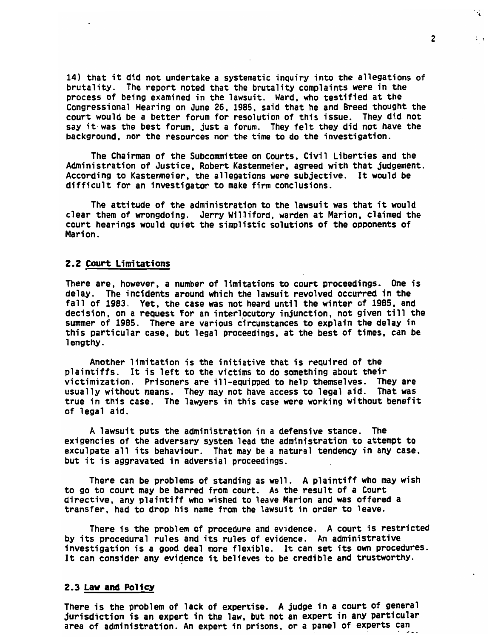14) that it did not undertake a systematic inquiry into the allegations of brutality. The report noted that the brutality complaints were in the process of being examined in the lawsuit. Ward, who testified at the Congressional Hearing on June 26. 1985, said that he and Breed thought the court would be a better forum for resolution of this issue. They did not say it was the best forum, just a forum. They felt they did not have the background, nor the resources nor the time to do the investigation.

The Chairman of the Subcommittee on Courts, Civil Liberties and the Administration of Justice, Robert Kastenmeier. agreed with that judgement. According to Kastenmeier, the allegations were subjective. It would be difficult for an investigator to make firm conclusions.

The attitude of the administration to the lawsuit was that it would clear them of wrongdoing. Jerry Williford, warden at Marion, claimed the court hearings would quiet the simplistic solutions of the opponents of Marion.

## 2.2 Court Limitations

There are, however, a number of limitations to court proceedings. One is delay. The incidents around which the lawsuit revolved occurred in the fall of 1983. Yet, the case was not heard until the winter of 1985. and decision, on a request Tor an interlocutory injunction, not given till the summer of 1985. There are various circumstances to explain the delay in this particular case, but legal proceedings, at the best of times, can be lengthy.

Another limitation is the initiative that is required of the plaintiffs. It is left to the victims to do something about their victimization. Prisoners are ill-equipped to help themselves. They are usually without means. They may not have access to legal aid. That was true in this case. The lawyers in this case were working without benefit of legal aid.

A lawsuit puts the administration in a defensive stance. The exigencies of the adversary system lead the administration to attempt to exculpate all its behaviour. That may be a natural tendency in any case, but it is aggravated in adversial proceedings.

There can be problems of standing as well. A plaintiff who may wish to go to court may be barred from court. As the result of a Court directive, any plaintiff who wished to leave Marion and was offered a transfer, had to drop his name from the lawsuit in order to leave.

There is the problem of procedure and evidence. A court is restricted by its procedural rules and its rules of evidence. An administrative investigation is a good deal more flexible. It can set its own procedures. It can consider any evidence it believes to be credible and trustworthy.

### 2.3 Law and Policy

There is the problem of lack of expertise. A judge in a court of general jurisdiction is an expert in the law, but not an expert in any particular area of administration. An expert in prisons, or a panel of experts can

 $\overline{c}$ 

 $\cdot$ .

 $\mathcal{L}$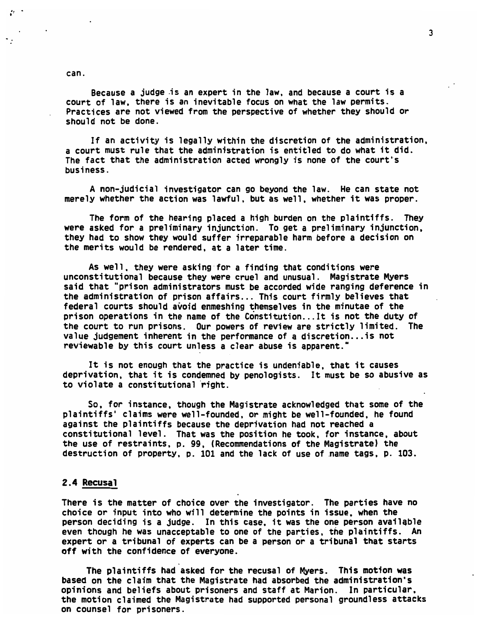can.

- 5

Because a judge is an expert in the law, and because a court is a court of law, there is an inevitable focus on what the law permits. Practices are not viewed from the perspective of whether they should or should not be done.

If an activity is legally within the discretion of the administration, a court must rule that the administration is entitled to do what it did. The fact that the administration acted wrongly is none of the court's business.

A non-judicial investigator can go beyond the law. He can state not merely whether the action was lawful, but as well, whether it was proper.

The form of the hearing placed a high burden on the plaintiffs. They were asked for a preliminary injunction. To get a preliminary injunction, they had to show they would suffer irreparable harm before a decision on the merits would be rendered, at a later time.

As well, they were asking for a finding that conditions were unconstitutional because they were cruel and unusual. Magistrate Myers said that "prison administrators must be accorded wide ranging deference in the administration of prison affairs... This court firmly believes that federal courts should avoid enmeshing themselves in the minutae of the prison operations in the name of the Constitution. ..It is not the duty of the court to run prisons. Our powers of review are strictly limited. The value judgement inherent in the performance of a discretion.. .is not reviewable by this court unless a clear abuse is apparent."

It is not enough that the practice is undeniable, that it causes deprivation, that it is condemned by penologists. It must be so abusive as to violate a constitutional right.

So, for instance, though the Magistrate acknowledged that some of the plaintiffs' claims were well-founded, or might be well-founded, he found against the plaintiffs because the deprivation had not reached a constitutional level. That was the position he took, for instance, about the use of restraints, p. 99, (Recommendations of the Magistrate) the destruction of property, p. 101 and the lack of use of name tags, p. 103.

### 2.4 Recusal

There is the matter of choice over the investigator. The parties have no choice or input into who will determine the points in issue, when the person deciding is a judge. In this case, it was the one person available even though he was unacceptable to one of the parties, the plaintiffs. An expert or a tribunal of experts can be a person or a tribunal that starts off with the confidence of everyone.

The plaintiffs had asked for the recusal of Myers. This motion was based on the claim that the Magistrate had absorbed the administration's opinions and beliefs about prisoners and staff at Marion. In particular, the motion claimed the Magistrate had supported personal groundless attacks on counsel for prisoners.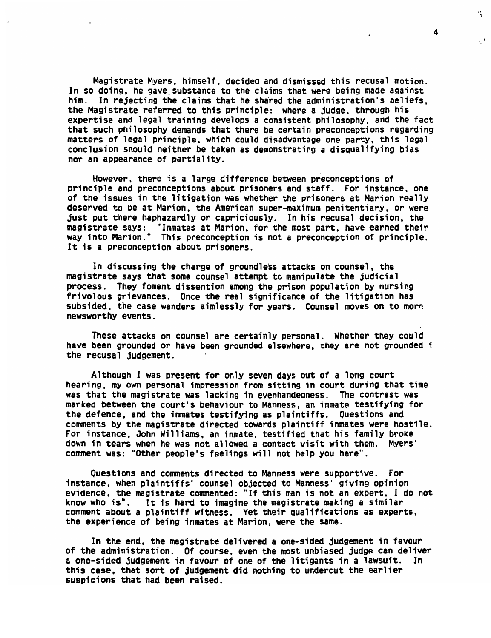Magistrate Myers, himself, decided and dismissed this recusal motion. In so doing, he gave substance to the claims that were being made against him. In rejecting the claims that he shared the administration's beliefs, the Magistrate referred to this principle: where a judge, through his expertise and legal training develops a consistent philosophy, and the fact that such philosophy demands that there be certain preconceptions regarding matters of legal principle, which could disadvantage one party, this legal conclusion should neither be taken as demonstrating a disqualifying bias nor an appearance of partiality.

However, there is a large difference between preconceptions of principle and preconceptions about prisoners and staff. For instance, one of the issues in the litigation was whether the prisoners at Marion really deserved to be at Marion, the American super-maximum penitentiary, or were just put there haphazardly or capriciously. In his recusal decision, the magistrate says: "Inmates at Marion, for the most part, have earned their way into Marion." This preconception is not a preconception of principle. It is a preconception about prisoners.

In discussing the charge of groundless attacks on counsel, the magistrate says that some counsel attempt to manipulate the judicial process. They foment dissention among the prison population by nursing frivolous grievances. Once the real significance of the litigation has subsided, the case wanders aimlessly for years. Counsel moves on to more newsworthy events.

These attacks on counsel are certainly personal. Whether they could have been grounded or have been grounded elsewhere, they are not grounded i the recusal judgement.

Although I was present for only seven days out of a long court hearing, my own personal impression from sitting in court during that time was that the magistrate was lacking in evenhandedness. The contrast was marked between the court's behaviour to Manness, an inmate testifying for the defence, and the inmates testifying as plaintiffs. Questions and comments by the magistrate directed towards plaintiff inmates were hostile. For instance, John Williams, an inmate, testified that his family broke down in tears when he was not allowed a contact visit with them. Myers' comment was: "Other people's feelings will not help you here".

Questions and comments directed to Manness were supportive. For instance, when plaintiffs' counsel objected to Manness' giving opinion evidence, the magistrate commented: "If this man is not an expert, I do not know who is". It is hard to imagine the magistrate making a similar comment about a plaintiff witness. Yet their qualifications as experts, the experience of being inmates at Marion, were the same.

In the end, the magistrate delivered a one-sided judgement in favour of the administration. Of course, even the most unbiased judge can deliver a one-sided judgement in favour of one of the litigants in a lawsuit. In this case, that sort of judgement did nothing to undercut the earlier suspicions that had been raised.

4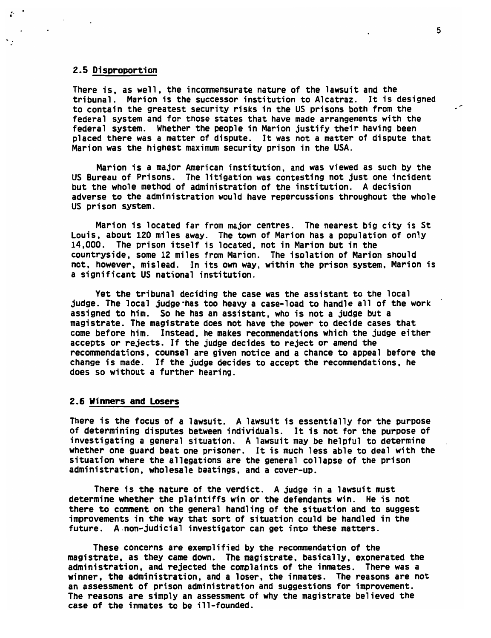## 2.5 Disproportion

There is. as well, the incommensurate nature of the lawsuit and the tribunal. Marion is the successor institution to Alcatraz. It is designed to contain the greatest security risks in the US prisons both from the federal system and for those states that have made arrangements with the federal system. Whether the people in Marion justify their having been placed there was a matter of dispute. It was not a matter of dispute that Marion was the highest maximum security prison in the USA.

Marion is a major American institution, and was viewed as such by the US Bureau of Prisons. The litigation was contesting not just one incident but the whole method of administration of the institution. A decision adverse to the administration would have repercussions throughout the whole US prison system.

Marion is located far from major centres. The nearest big city is St Louis, about 120 miles away. The town of Marion has a population of only 14.000. The prison itself is located, not in Marion but in the countryside, some 12 miles from Marion. The isolation of Marion should not, however, mislead. In its own way, within the prison system, Marion is a significant US national institution.

Yet the tribunal deciding the case was the assistant to the local judge. The local judge-has too heavy a case-load to handle all of the work assigned to him. So he has an assistant, who is not a judge but a magistrate. The magistrate does not have the power to decide cases that come before him. Instead, he makes recommendations which the judge either accepts or rejects. If the judge decides to reject or amend the recommendations, counsel are given notice and a chance to appeal before the change is made. If the judge decides to accept the recommendations, he does so without a further hearing.

#### 2.6 Winners and Losers

There is the focus of a lawsuit. A lawsuit is essentially for the purpose of determining disputes between individuals. It is not for the purpose of investigating a general situation. A lawsuit may be helpful to determine whether one guard beat one prisoner. It is much less able to deal with the situation where the allegations are the general collapse of the prison administration, wholesale beatings, and a cover-up.

There is the nature of the verdict. A judge in a lawsuit must determine whether the plaintiffs win or the defendants win. He is not there to comment on the general handling of the situation and to suggest improvements in the way that sort of situation could be handled in the future. A non-judicial investigator can get into these matters.

These concerns are exemplified by the recommendation of the magistrate, as they came down. The magistrate, basically, exonerated the administration, and rejected the complaints of the inmates. There was a winner, the administration, and a loser, the inmates. The reasons are not an assessment of prison administration and suggestions for improvement. The reasons are simply an assessment of why the magistrate believed the case of the inmates to be ill-founded.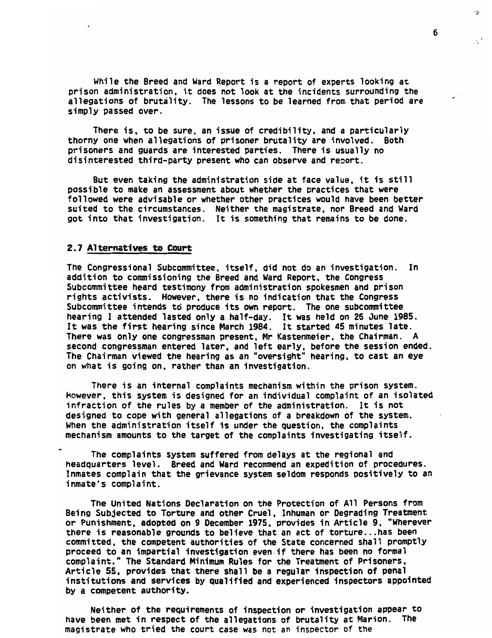While the Breed and Ward Report is a report of experts looking at prison administration, it does not look at the incidents surrounding the allegations of brutality. The lessons to be learned from that period are simply passed over.

There is. to be sure, an issue of credibility, and a particularly thorny one when allegations of prisoner brutality are involved. Both prisoners and guards are interested parties. There is usually no disinterested third-party present who can observe and reoort.

But even taking the administration side at face value, it is still possible to make an assessment about whether the practices that were followed were advisable or whether other practices would have been better suited to the circumstances. Neither the magistrate, nor Breed and Ward got into that investigation. It is something that remains to be done.

#### 2.7 Alternatives to Court

The Congressional Subcommittee, itself, did not do an investigation. In addition to commissioning the Breed and Ward Report, the Congress Subcommittee heard testimony from administration spokesmen and prison rights activists. However, there is no indication that the Congress Subcommittee intends to produce its own report. The one subcommittee hearing I attended lasted only a half-day. It was held on 26 June 1985. It was the first hearing since March 1984. It started 45 minutes late. There was only one congressman present. Mr Kastenmeier, the Chairman. A second congressman entered later, and left early, before the session ended. The Chairman viewed the hearing as an "oversight" hearing, to cast an eye on what is going on. rather than an investigation.

There is an internal complaints mechanism within the prison system. However, this system is designed for an individual complaint of an isolated infraction of the rules by a member of the administration. It is not designed to cope with general allegations of a breakdown of the system. When the administration itself is under the question, the complaints mechanism amounts to the target of the complaints investigating itself.

The complaints system suffered from delays at the regional and headquarters level. Breed and Ward recommend an expedition of procedures. Inmates complain that the grievance system seldom responds positively to an inmate's complaint.

The United Nations Declaration on the Protection of All Persons from Being Subjected to Torture and other Cruel. Inhuman or Degrading Treatment or Punishment, adopted on 9 December 1975, provides in Article 9. "Wherever there is reasonable grounds to believe that an act of torture...has been committed, the competent authorities of the State concerned shall promptly proceed to an impartial investigation even if there has been no formal complaint. The Standard Minimum Rules for the Treatment of Prisoners, Article 55. provides that there shall be a regular inspection of penal institutions and services by qualified and experienced inspectors appointed by a competent authority.

Neither of the requirements of inspection or investigation appear to have been met in respect of the allegations of brutality at Marion. The magistrate who tried the court case was not an inspector of the

6

ò.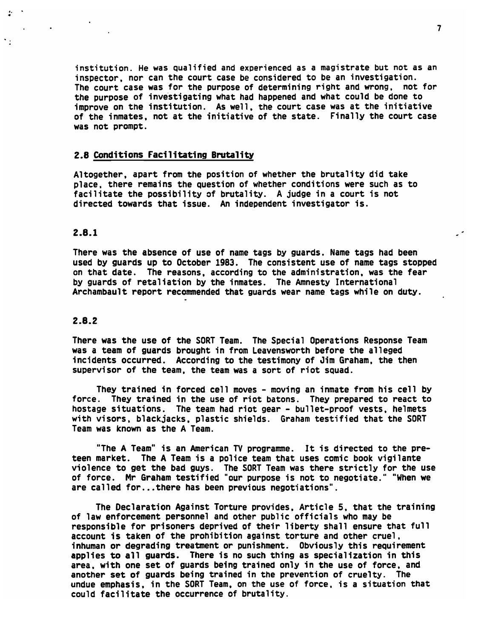institution. He was qualified and experienced as a magistrate but not as an inspector, nor can the court case be considered to be an investigation. The court case was for the purpose of determining right and wrong, not for the purpose of investigating what had happened and what could be done to improve on the institution. As well, the court case was at the initiative of the inmates, not at the initiative of the state. Finally the court case was not prompt.

#### 2.8 Conditions Facilitating Brutality

Altogether, apart from the position of whether the brutality did take place, there remains the question of whether conditions were such as to facilitate the possibility of brutality. A judge in a court is not directed towards that issue. An independent investigator is.

#### 2.8.1

 $\mathcal{D}^{\mathcal{A}}$ 

 $\ddot{\phantom{1}}$ 

There was the absence of use of name tags by guards. Name tags had been used by guards up to October 1983. The consistent use of name tags stopped on that date. The reasons, according to the administration, was the fear by guards of retaliation by the inmates. The Amnesty International Archambault report recommended that guards wear name tags while on duty.

#### 2.8.2

There was the use of the SORT Team. The Special Operations Response Team was a team of guards brought in from Leavensworth before the alleged incidents occurred. According to the testimony of Jim Graham, the then supervisor of the team, the team was a sort of riot squad.

They trained in forced cell moves - moving an inmate from his cell by force. They trained in the use of riot batons. They prepared to react to hostage situations. The team had riot gear - bullet-proof vests, helmets with visors, blackjacks, plastic shields. Graham testified that the SORT Team was known as the A Team.

"The A Team" is an American TV programme. It is directed to the preteen market. The A Team is a police team that uses comic book vigilante violence to get the bad guys. The SORT Team was there strictly for the use of force. Mr Graham testified "our purpose is not to negotiate." "When we are called for...there has been previous negotiations".

The Declaration Against Torture provides. Article 5, that the training of law enforcement personnel and other public officials who may be responsible for prisoners deprived of their liberty shall ensure that full account is taken of the prohibition against torture and other cruel, inhuman or degrading treatment or punishment. Obviously this requirement applies to all guards. There is no such thing as specialization in this area, with one set of guards being trained only in the use of force, and another set of guards being trained in the prevention of cruelty. The undue emphasis, in the SORT Team, on the use of force, is a situation that could facilitate the occurrence of brutality.

 $\overline{\phantom{a}}$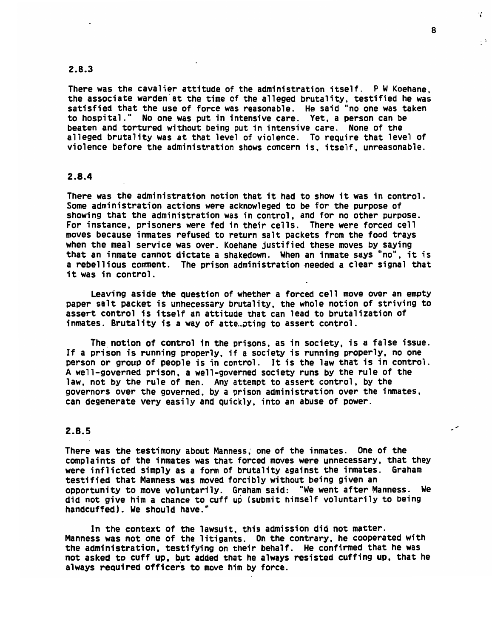#### 2.8.3

There was the cavalier attitude of the administration itself. P W Koehane, the associate warden at the time of the alleged brutality, testified he was satisfied that the use of force was reasonable. He said "no one was taken to hospital." No one was put in intensive care. Yet, a person can be beaten and tortured without being put in intensive care. None of the alleged brutality was at that level of violence. To require that level of violence before the administration shows concern is. itself, unreasonable.

## 2.8.4

There was the administration notion that it had to show it was in control. Some administration actions were acknowleged to be for the purpose of showing that the administration was in control, and for no other purpose. For instance, prisoners were fed in their cells. There were forced cell moves because inmates refused to return salt packets from the food trays when the meal service was over. Koehane justified these moves by saying that an inmate cannot dictate a shakedown. When an inmate says "no", it is a rebellious comment. The prison administration needed a clear signal that it was in control.

Leaving aside the question of whether a forced cell move over an empty paper salt packet is unnecessary brutality, the whole notion of striving to assert control is itself an attitude that can lead to brutalization of inmates. Brutality is a way of attempting to assert control.

The notion of control in the prisons, as in society, is a false issue. If a prison is running properly, if a society is running properly, no one person or group of people is in control. It is the law that is in control. A well-governed prison, a well-governed society runs by the rule of the law, not by the rule of men. Any attempt to assert control, by the governors over the governed, by a prison administration over the inmates, can degenerate very easily and quickly, into an abuse of power.

## 2.8.5

There was the testimony about Manness, one of the inmates. One of the complaints of the inmates was that forced moves were unnecessary, that they were inflicted simply as a form of brutality against the inmates. Graham testified that Manness was moved forcibly without being given an opportunity to move voluntarily. Graham said: "We went after Manness. We did not give him a chance to cuff up (submit himself voluntarily to being handcuffed). We should have."

In the context of the lawsuit, this admission did not matter. Manness was not one of the litigants. On the contrary, he cooperated with the administration, testifying on their behalf. He confirmed that he was not asked to cuff up. but added that he always resisted cuffing up, that he always required officers to move him by force.

8

К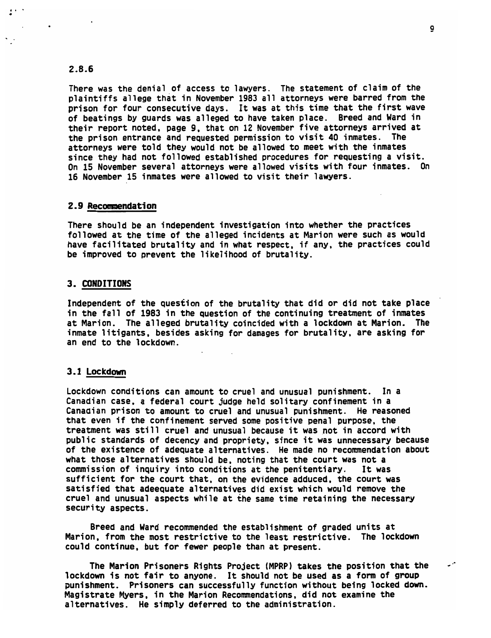## 2.8.6

There was the denial of access to lawyers. The statement of claim of the plaintiffs allege that in November 1983 all attorneys were barred from the prison for four consecutive days. It was at this time that the first wave of beatings by guards was alleged to have taken place. Breed and Ward in their report noted, page 9, that on 12 November five attorneys arrived at the prison entrance and requested permission to visit 40 inmates. The attorneys were told they would not be allowed to meet with the inmates since they had not followed established procedures for requesting a visit. On 15 November several attorneys were allowed visits with four inmates. On 16 November 15 inmates were allowed to visit their lawyers.

#### 2.9 Recommendation

There should be an independent investigation into whether the practices followed at the time of the alleged incidents at Marion were such as would have facilitated brutality and in what respect, if any, the practices could be improved to prevent the likelihood of brutality.

#### 3. CONDITIONS

Independent of the question of the brutality that did or did not take place in the fall of 1983 in the question of the continuing treatment of inmates at Marion. The alleged brutality coincided with a lockdown at Marion. The inmate litigants, besides asking for damages for brutality, are asking for an end to the lockdown.

#### 3.1 Lockdown

Lockdown conditions can amount to cruel and unusual punishment. In a Canadian case, a federal court judge held solitary confinement in a Canadian prison to amount to cruel and unusual punishment. He reasoned that even if the confinement served some positive penal purpose, the treatment was still cruel and unusual because it was not in accord with public standards of decency and propriety, since it was unnecessary because of the existence of adequate alternatives. He made no recommendation about what those alternatives should be, noting that the court was not a commission of inquiry into conditions at the penitentiary. It was sufficient for the court that, on the evidence adduced, the court was satisfied that adeequate alternatives did exist which would remove the cruel and unusual aspects while at the same time retaining the necessary security aspects.

Breed and Ward recommended the establishment of graded units at Marion, from the most restrictive to the least restrictive. The lockdown could continue, but for fewer people than at present.

The Marion Prisoners Rights Project (MPRP) takes the position that the lockdown is not fair to anyone. It should not be used as a form of group punishment. Prisoners can successfully function without being locked down. Magistrate Myers, in the Marion Recommendations, did not examine the alternatives. He simply deferred to the administration.

 $\mathcal{L}^{\mathcal{A}}$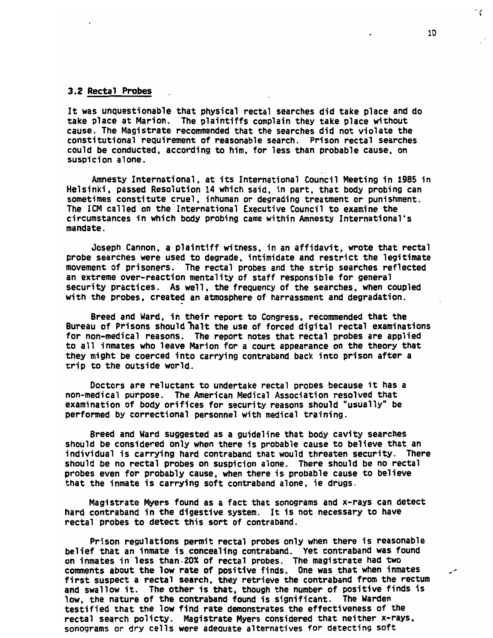#### 3.2 Rectal Probes

It was unquestionable that physical rectal searches did take place and do take place at Marion. The plaintiffs complain they take place without cause. The Magistrate recommended that the searches did not violate the constitutional requirement of reasonable search. Prison rectal searches could be conducted, according to him. for less than probable cause, on suspicion alone.

Amnesty International, at its International Council Meeting in 1985 in Helsinki, passed Resolution 14 which said, in part, that body probing can sometimes constitute cruel, inhuman or degrading treatment or punishment. The ICM called on the International Executive Council to examine the circumstances in which body probing came within Amnesty International's mandate.

Joseph Cannon, a plaintiff witness, in an affidavit, wrote that rectal probe searches were used to degrade, intimidate and restrict the legitimate movement of prisoners. The rectal probes and the strip searches reflected an extreme over-reaction mentality of staff responsible for general security practices. As well, the frequency of the searches, when coupled with the probes, created an atmosphere of harrassment and degradation.

Breed and Ward, in their report to Congress, recommended that the Bureau of Prisons should "halt the use of forced digital rectal examinations for non-medical reasons. The report notes that rectal probes are applied to all inmates who leave Marion for a court appearance on the theory that they might be coerced into carrying contraband back into prison after a trip to the outside world.

Doctors are reluctant to undertake rectal probes because it has a non-medical purpose. The American Medical Association resolved that examination of body orifices for security reasons should "usually" be performed by correctional personnel with medical training.

Breed and Ward suggested as a guideline that body cavity searches should be considered only when there is probable cause to believe that an individual is carrying hard contraband that would threaten security. There should be no rectal probes on suspicion alone. There should be no rectal probes even for probably cause, when there is probable cause to believe that the inmate is carrying soft contraband alone, ie drugs.

Magistrate Myers found as a fact that sonograms and x-rays can detect hard contraband in the digestive system. It is not necessary to have rectal probes to detect this sort of contraband.

Prison regulations permit rectal probes only when there is reasonable belief that an inmate is concealing contraband. Yet contraband was found on inmates in less than-20% of rectal probes. The magistrate had two comments about the low rate of positive finds. One was that when inmates first suspect a rectal search, they retrieve the contraband from the rectum and swallow it. The other is that, though the number of positive finds is low, the nature of the contraband found is significant. The Warden testified that the low find rate demonstrates the effectiveness of the rectal search policty. Magistrate Myers considered that neither x-rays, sonograms or dry cells were adequate alternatives for detecting soft

مر

ť.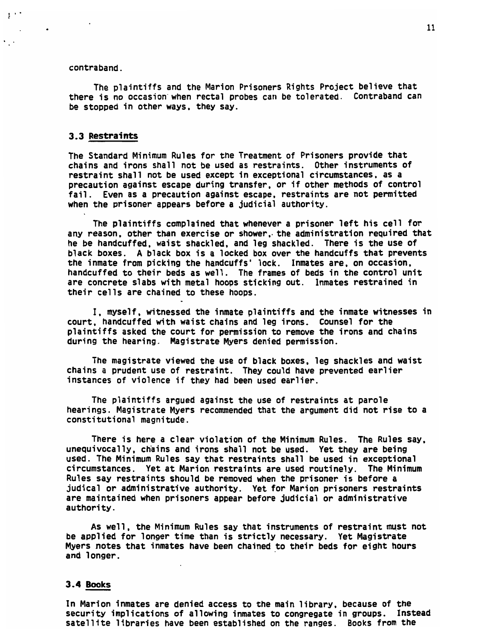#### contraband.

 $\pm$   $\pm$   $\pm$ 

 $\epsilon_{\perp}$  .

The plaintiffs and the Marion Prisoners Rights Project believe that there is no occasion when rectal probes can be tolerated. Contraband can be stopped in other ways, they say.

#### 3.3 Restraints

The Standard Minimum Rules for the Treatment of Prisoners provide that chains and irons shall not be used as restraints. Other instruments of restraint shall not be used except in exceptional circumstances, as a precaution against escape during transfer, or if other methods of control fail. Even as a precaution against escape, restraints are not permitted when the prisoner appears before a judicial authority.

The plaintiffs complained that whenever a prisoner left his cell for any reason, other than exercise or shower, the administration required that he be handcuffed, waist shackled, and leg shackled. There is the use of black boxes. A black box is a locked box over the handcuffs that prevents the inmate from picking the handcuffs' lock. Inmates are, on occasion, handcuffed to their beds as well. The frames of beds in the control unit are concrete slabs with metal hoops sticking out. Inmates restrained in their cells are chained to these hoops.

I, myself, witnessed the inmate plaintiffs and the inmate witnesses in court, handcuffed with waist chains and leg irons. Counsel for the plaintiffs asked the court for permission to remove the irons and chains during the hearing. Magistrate Myers denied permission.

The magistrate viewed the use of black boxes, leg shackles and waist chains a prudent use of restraint. They could have prevented earlier instances of violence if they had been used earlier.

The plaintiffs argued against the use of restraints at parole hearings. Magistrate Myers recommended that the argument did not rise to a constitutional magnitude.

There is here a clear violation of the Minimum Rules. The Rules say, unequivocally, chains and irons shall not be used. Yet they are being used. The Minimum Rules say that restraints shall be used in exceptional circumstances. Yet at Marion restraints are used routinely. The Minimum Rules say restraints should be removed when the prisoner is before a judical or administrative authority. Yet for Marion prisoners restraints are maintained when prisoners appear before judicial or administrative authority.

As well, the Minimum Rules say that instruments of restraint must not be applied for longer time than is strictly necessary. Yet Magistrate Myers notes that inmates have been chained to their beds for eight hours and longer.

#### 3.4 Books

In Marion inmates are denied access to the main library, because of the security implications of allowing inmates to congregate in groups. Instead satellite libraries have been established on the ranges. Books from the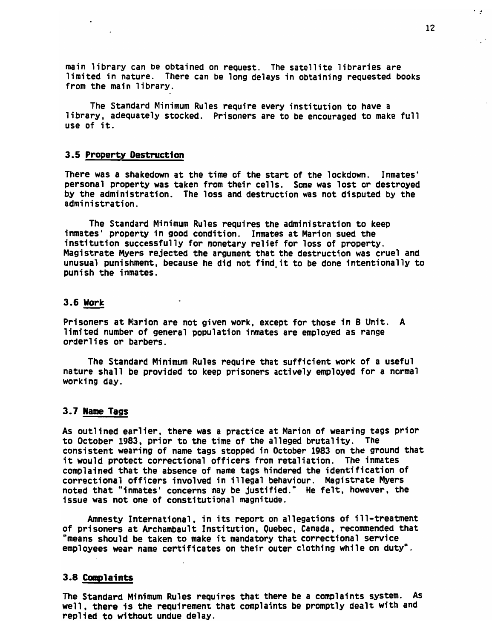main library can be obtained on request. The satellite libraries are limited in nature. There can be long delays in obtaining requested books from the main library.

The Standard Minimum Rules require every institution to have a library, adequately stocked. Prisoners are to be encouraged to make full use of it.

#### 3.5 Property Destruction

There was a shakedown at the time of the start of the lockdown. Inmates' personal property was taken from their cells. Some was lost or destroyed by the administration. The loss and destruction was not disputed by the administration.

The Standard Minimum Rules requires the administration to keep inmates' property in good condition. Inmates at Marion sued the institution successfully for monetary relief for loss of property. Magistrate Myers rejected the argument that the destruction was cruel and unusual punishment, because he did not find.it to be done intentionally to punish the inmates.

### 3.6 Work

Prisoners at Marion are not given work, except for those in B Unit. A limited number of general population inmates are employed as range orderlies or barbers.

The Standard Minimum Rules require that sufficient work of a useful nature shall be provided to keep prisoners actively employed for a normal working day.

## 3.7 Name Tags

As outlined earlier, there was a practice at Marion of wearing tags prior to October 1983, prior to the time of the alleged brutality. The consistent wearing of name tags stopped in October 1983 on the ground that it would protect correctional officers from retaliation. The inmates complained that the absence of name tags hindered the identification of correctional officers involved in illegal behaviour. Magistrate Myers noted that "inmates' concerns may be justified." He felt, however, the issue was not one of constitutional magnitude.

Amnesty International, in its report on allegations of ill-treatment of prisoners at Archambault Institution, Quebec, Canada, recommended that "means should be taken to make it mandatory that correctional service employees wear name certificates on their outer clothing while on duty".

#### 3.8 Complaints

The Standard Minimum Rules requires that there be a complaints system. As well, there is the requirement that complaints be promptly dealt with and replied to without undue delay.

اق ا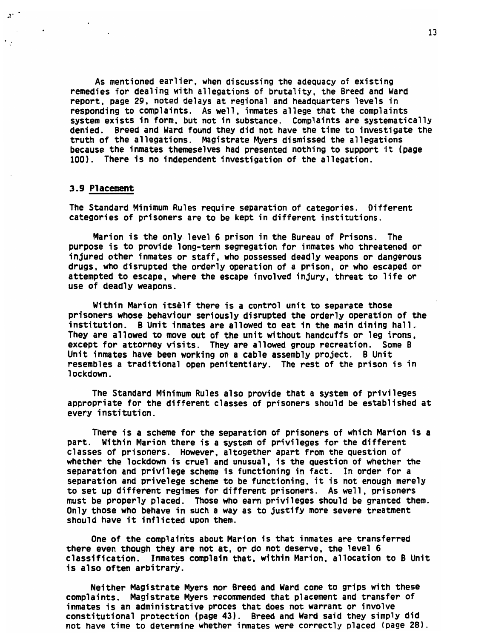As mentioned earlier, when discussing the adequacy of existing remedies for dealing with allegations of brutality, the Breed and Ward report, page 29, noted delays at regional and headquarters levels in responding to complaints. As well, inmates allege that the complaints system exists in form, but not in substance. Complaints are systematically denied. Breed and Ward found they did not have the time to investigate the truth of the allegations. Magistrate Myers dismissed the allegations because the inmates themeselves had presented nothing to support it (page 100). There is no independent investigation of the allegation.

#### 3.9 Placement

 $2<sup>2</sup>$ 

 $\mathcal{C}_{\mathcal{L}^{\mathcal{C}}}$ 

 $\mathcal{A}^{\mathcal{A}}$  and  $\mathcal{A}^{\mathcal{A}}$ 

The Standard Minimum Rules require separation of categories. Different categories of prisoners are to be kept in different institutions.

Marion is the only level 6 prison in the Bureau of Prisons. The purpose is to provide long-term segregation for inmates who threatened or injured other inmates or staff, who possessed deadly weapons or dangerous drugs, who disrupted the orderly operation of a prison, or who escaped or attempted to escape, where the escape involved injury, threat to life or use of deadly weapons.

Within Marion itself there is a control unit to separate those prisoners whose behaviour seriously disrupted the orderly operation of the institution. B Unit inmates are allowed to eat in the main dining hall. They are allowed to move out of the unit without handcuffs or leg irons, except for attorney visits. They are allowed group recreation. Some B Unit inmates have been working on a cable assembly project. B Unit resembles a traditional open penitentiary. The rest of the prison is in lockdown.

The Standard Minimum Rules also provide that a system of privileges appropriate for the different classes of prisoners should be established at *e\/ery* institution.

There is a scheme for the separation of prisoners of which Marion is a part. Within Marion there is a system of privileges for the different classes of prisoners. However, altogether apart from the question of whether the lockdown is cruel and unusual, is the question of whether the separation and privilege scheme is functioning in fact. In order for a separation and privelege scheme to be functioning, it is not enough merely to set up different regimes for different prisoners. As well, prisoners must be properly placed. Those who earn privileges should be granted them. Only those who behave in such a way as to justify more severe treatment should have it inflicted upon them.

One of the complaints about Marion is that inmates are transferred there even though they are not at, or do not deserve, the level 6 classification. Inmates complain that, within Marion, allocation to B Unit is also often arbitrary.

Neither Magistrate Myers nor Breed and Ward come to grips with these complaints. Magistrate Myers recommended that placement and transfer of inmates is an administrative proces that does not warrant or involve constitutional protection (page 43). Breed and Ward said they simply did not have time to determine whether inmates were correctly placed (page 28).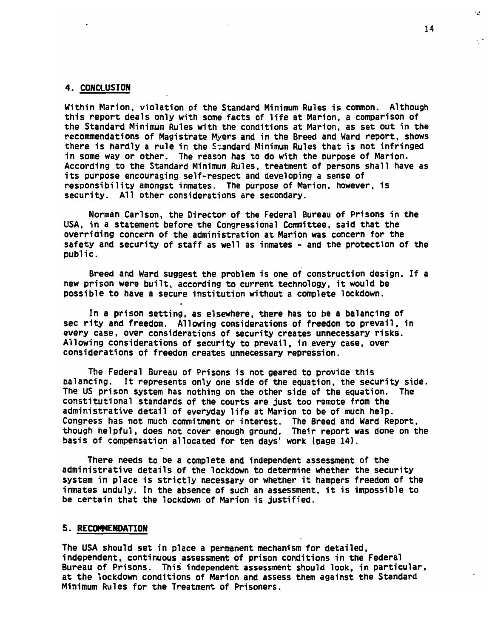#### 4. CONCLUSION

Within Marion, violation of the Standard Minimum Rules is common. Although this report deals only with some facts of life at Marion, a comparison of the Standard Minimum Rules with the conditions at Marion, as set out in the recommendations of Magistrate Myers and in the Breed and Ward report, shows there is hardly a rule in the Standard Minimum Rules that is not infringed in some way or other. The reason has to do with the purpose of Marion. According to the Standard Minimum Rules, treatment of persons shall have as its purpose encouraging self-respect and developing a sense of responsibility amongst inmates. The purpose of Marion, however, is security. All other considerations are secondary.

Norman Carlson, the Director of the Federal Bureau of Prisons in the USA, in a statement before the Congressional Committee, said that the overriding concern of the administration at Marion was concern for the safety and security of staff as well as inmates - and the protection of the public.

Breed and Ward suggest the problem is one of construction design. If a new prison were built, according to current technology, it would be possible to have a secure institution without a complete lockdown.

In a prison setting, as elsewhere, there has to be a balancing of sec rity and freedom. Allowing considerations of freedom to prevail, in every case, over considerations of security creates unnecessary risks. Allowing considerations of security to prevail, in every case, over considerations of freedom creates unnecessary repression.

The Federal Bureau of Prisons is not geared to provide this balancing. It represents only one side of the equation, the security side. The US prison system has nothing on the other side of the equation. The constitutional standards of the courts are just too remote from the administrative detail of everyday life at Marion to be of much help. Congress has not much commitment or interest. The Breed and Ward Report, though helpful, does not cover enough ground. Their report was done on the basis of compensation allocated for ten days' work (page 14).

There needs to be a complete and independent assessment of the administrative details of the lockdown to determine whether the security system in place is strictly necessary or whether it hampers freedom of the inmates unduly. In the absence of such an assessment, it is impossible to be certain that the lockdown of Marion is justified.

#### 5. RECOMMENDATION

The USA should set in place a permanent mechanism for detailed, independent, continuous assessment of prison conditions in the Federal Bureau of Prisons. This independent assessment should look, in particular, at the lockdown conditions of Marion and assess them against the Standard Minimum Rules for the Treatment of Prisoners.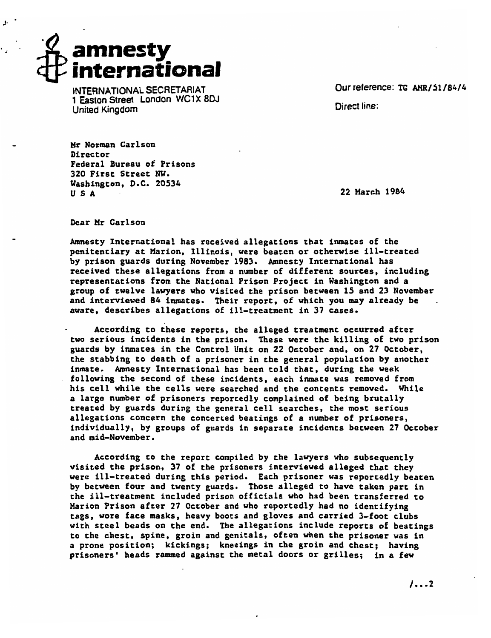*amnesty international*

*INTERNATIONAL SECRETARIAT Ourreference: TG AMR/51/84/4 1 Easton Street London WC1X8DJ United Kingdom Direct line:*

*Mr Norman Carlson* ir No<del>r</del>mar diffector<br>Authorization of Prisons ederal bureau ol rr.<br>Decenii: C 320 First Street NW.<br>Washington, D.C. 20534 U S A 22 March 1984

Dear Mr Carlson

Amnesty International has received allegations that inmates of the penitentiary at Marion, Illinois, were beaten or otherwise ill-treated by prison guards during November 1983. Amnesty International has received these allegations from a number of different sources, including representations from the National Prison Project in Washington and a group of twelve lawyers who visited the prison between 15 and 23 November and interviewed 84 inmates. Their report, of which you may already be aware, describes allegations of ill-treatment in 37 cases.

According to these reports, the alleged treatment occurred after two serious incidents in the prison. These were the killing of two prison guards by inmates in the Control Unit on 22 October and, on 27 October, the stabbing to death of aprisoner in the general population by another inmate. Amnesty International has been told that, during the week following the second of these incidents, each inmate was removed from his cell while the cells were searched and the contents removed. While a large number of prisoners reportedly complained of being brutally treated by guards during the general cell searches, the most serious allegations concern the concerted beatings of a number of prisoners, individually by groups of guards in separate incidents between 27 October individually, by

According to the report compiled by the lawyers who subsequently visited the prison, 37 of the prisoners interviewed alleged that they were ill-treated during this period. Each prisoner was reportedly beaten by between four and twenty guards. Those alleged to have taken part in the ill-treatment included prison officials who had been transferred to Marion Prison after 27 October and who reportedly had no identifying tags, wore face masks, heavy boots and gloves and carried 3-foot clubs with steel beads on the end. The allegations include reports of beatings to the chest, spine, groin and genitals, often when the prisoner was in a prone position; kickings; kneeings in the groin and chest; having prisoners\* heads rammed against the metal doors or grilles; in a few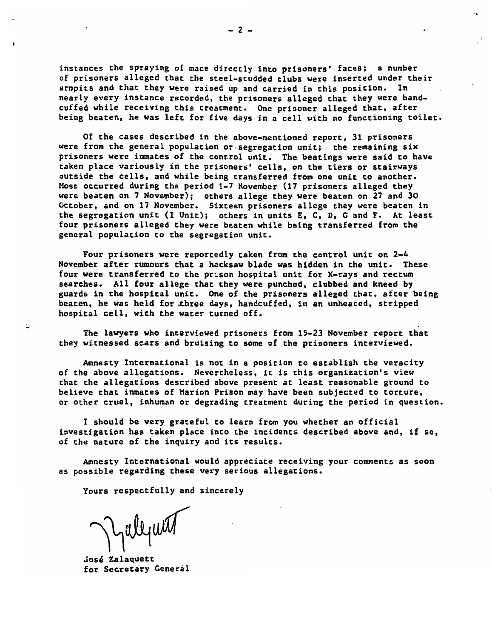instances the spraying of mace directly into prisoners• faces; a number of prisoners alleged that the steel-studded clubs were inserted under their armpits and that they were raised up and carried in this position. In nearly every instance recorded, the prisoners alleged that they were hand-<br>cuffed while receiving this treatment. One prisoner alleged that, after being beaten, he was left for five days in acell with no functioning toilet.

Of the cases described in the above-mentioned report, 31 prisoners were from the general population or-segregation unit; the remaining six prisoners were inmates of the control unit. The beatings were said to have taken place variously in the prisoners' cells, on the tiers or stairways outside the cells, and while being transferred from one unit to another.<br>Most occurred during the period 1-7 November (17 prisoners alleged they were beaten on 7 November); others allege they were beaten on <sup>27</sup> and 30 October, and on 17 November. Sixteen prisoners allege they were beaten in the segregation unit (I Unit); others in units E, C, D, G and F. At least four prisoners alleged they were beaten while being transferred from the general population to the secondation unit.

Four prisoners were reportedly taken from the control unit on 2-4 November after rumours that a hacksaw blade was hidden in the unit. These four were transferred to the prison hospital unit for X-rays and rectum searches. All four allege that they were punched, clubbed and kneed by guards in the hospital unit. One of the prisoners alleged that, after being beaten, he was held for .three days, handcuffed, in an unheated, stripped hospital cell, with the water turned off.

The lawyers who interviewed prisoners from 15-23 November report that they witnessed scars and bruising to some of the prisoners interviewed.

Amnesty International is not in a position to establish the veracity of the above allegations. Nevertheless, it is this organization's view that the allegations described above present at least reasonable ground to believe that inmates of Marion Prison may have been subjected to torture or other cruel, inhuman or degrading treatment during the period in question.

I should be very grateful to learn from you whether an official investigation has taken place into the incidents described above and, if so of the nature of the inquiry and its results.

Amnesty International would appreciate receiving your comments as soon as possible regarding these very serious allegations.

Yours respectfully and sincerely

Mallywith

Jose Zalaquett for Secretary General

 $\cdot$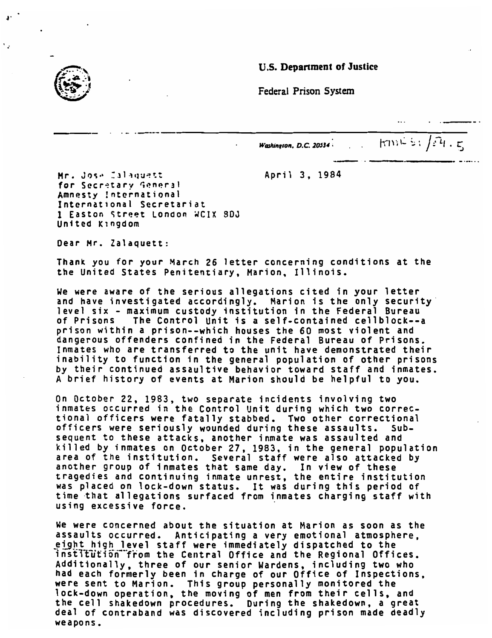#### *U.S. Department of Justice*





*J'*

*Washington. D.C. <sup>20534</sup> \ . . fa"lV.l- i', >L\ . C*

Mr. Jose Zalaquett **April 3, 1984** for Secretary General Amnesty International International Secretariat 1 Easton Street London WCIX 8DJ United Kingdom

Dear Mr. Zalaquett:

Thank you for your March 26 letter concerning conditions at the the United States Penitentiary, Marion, Illinois.

We were aware of the serious allegations cited in your letter and have investigated accordingly. Marion is the only security level six - maximum custody institution in the Federal Bureau of Prisons The Control Unit is a self-contained cellblock--a prison within a prison--which houses the 60 most violent and dangerous offenders confined in the Federal Bureau of Prisons. Inmates who are transferred to the unit have demonstrated their inability to function in the general population of other prisons by their continued assaultive behavior toward staff and inmates. A brief history of events at Marion should be helpful to you.

On October 22, 1983, two separate incidents involving two inmates occurred in the Control Unit during which two correc tional officers were fatally stabbed. Two other correctional officers were seriously wounded during these assaults. Sub sequent to these attacks, another inmate was assaulted and killed by inmates on October 27, 1983, in the general population area of the institution. Several staff were also attacked by another group of inmates that same day. In view of these tragedies and continuing inmate unrest, the entire institution was placed on lock-down status. It was during this period of time that allegations surfaced from inmates charging staff with using excessive force.

We were concerned about the situation at Marion as soon as the assaults occurred. Anticipating a *wery* emotional atmosphere, eight high level staff were immediately dispatched to the institution from the Central Office and the Regional Offices. Additionally, three of our senior Wardens, including two who nad each formerly been in charge of our Office of Inspections were sent to Marion. This group personally monitored the note concrete introducing steep personarry monitories one increased to the moving of men from their cells, and the cell shakedown procedures. During the shakedown, a great deal of contraband was discovered including prison made deadly weapons.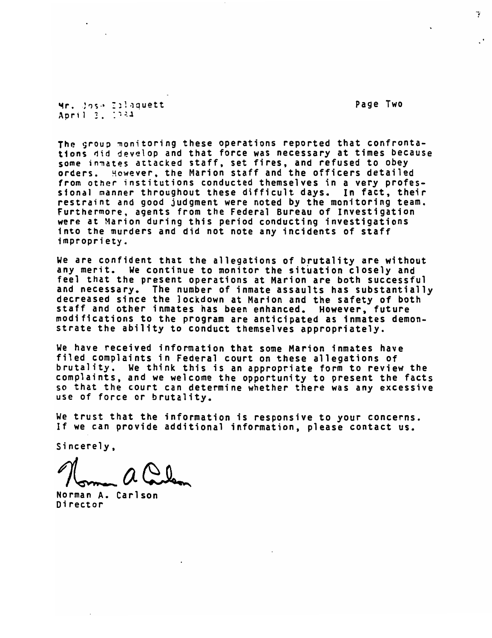**er.** Jose Eilaguett April 2, 1934

The group monitoring these operations reported that confrontations did develop and that force was necessary at times because some inmates attacke d staff, set fires , and refused to obey orders. However, th e Marion staff and the officers detailed from other instituti ons conducted them selves in a *wery* professlonal manner throug hout these difficu lt days. In fact, their restraint and good j udgment were noted by the monitoring team, Furthermore, agents from the Federal B ureau of Investigation were at Marion durin g this period cond ucting investigations Into the murders and did not note any incidents of staff impropriety.

We are confident that the allegations of brutality are without any merit. We continue to monitor the situation closely and feel that the present operations at Marion are both successful and necessary. The number of inmate assaults has substantially decreased since the lockdown at Marion and the safety of both staff and other inmates has been enhanced. However, future modifications to the program are anticipated as inmates demon strate the ability to conduct themselves appropriately.

We have received information that some Marion inmates have filed complaints in Federal court on these allegations of brutality. We think this is an appropriate form to review the complaints, and we welcome the opportunity to present the facts so that the court can determine whether there was any excessive use of force or brutality.

We trust that the information is responsive to your concerns. If we can provide additional information, please contact us.

Sincerely,

Norman A. Carlson Di rector

Page Two

T.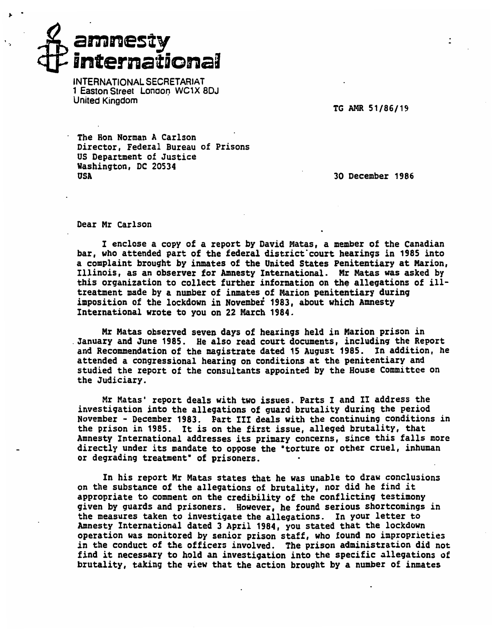# arainesty **international**

*INTERNATIONAL SECRETARIAT 1 Easton Street Lonaon WC1X 8DJ United Kingdom*

TG AMR 51/86/19

The Hon Norman A Carlson Director, Federal Bureau of Prisons US Department of Justice Washington, DC 20534 0SA 30 December 1986

Dear Mr Carlson

I enclose a copy of a report by David Matas, a member of the Canadian bar, who attended part of the federal district court hearings in 1985 into a complaint brought by inmates of the United States Penitentiary at Marion, Illinois, as an observer for Amnesty International. Mr Matas was asked by this organization to collect further information on the allegations of illtreatment made by a number of inmates of Marion penitentiary during imposition of the lockdown in November 1983, about which Amnesty International wrote to you on 22 March 1984.

Mr Matas observed seven days of hearings held in Marion prison in January and June 1985. He also read court documents, including the Report and Recommendation of the magistrate dated 15 August 1985. In addition, he attended a congressional hearing on conditions at the penitentiary and studied the report of the consultants appointed by the House Committee on the Judiciary.

Mr Matas' report deals with two issues. Parts I and II address the investigation into the allegations of guard brutality during the period November - December 1983. Part III deals with the continuing conditions in the prison in 1985. It is on the first issue, alleged brutality, that Amnesty International addresses its primary concerns, since this falls more directly under its mandate to oppose the 'torture or other cruel, inhuman or degrading treatment" of prisoners.

In his report Mr Matas states that he was unable to draw conclusions on the substance of the allegations of brutality, nor did he find it appropriate to comment on the credibility of the conflicting testimony given by guards and prisoners. However, he found serious shortcomings in the measures taken to investigate the allegations. In your letter to Amnesty International dated 3 April 1984, you stated that the lockdown operation was monitored by senior prison staff, who found no improprieties in the conduct of the officers involved. The prison administration did not find it necessary to hold an investigation into the specific allegations of brutality, taking the view that the action brought by a number of inmates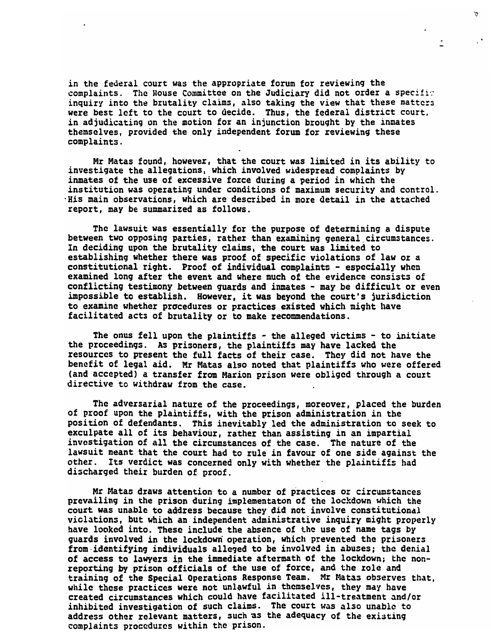in the federal court was the appropriate forum for reviewing the complaints. The House Committee on the Judiciary did not order a specifir inquiry into the brutality claims, also taking the view that these matters were best left to the court to decide. Thus, the federal district court, in adjudicating on the motion for an injunction brought by the inmates themselves, provided the only independent forum for reviewing these complaints.

Þ

 $\mathcal{C}^{\bullet}$ 

Mr Matas found, however, that the court was limited in its ability to investigate the allegations, which involved widespread complaints by inmates of the use of excessive force during a period in which the institution was operating under conditions of maximum security and control. His main observations, which are described in more detail in the attached report, may be summarized as follows.

The lawsuit was essentially for the purpose of determining a dispute between two opposing parties, rather than examining general circumstances. In deciding upon the brutality claims, the court was limited to establishing whether there was proof of specific violations of law or a constitutional right. Proof of individual complaints - especially when examined long after the event and where much of the evidence consists of conflicting testimony between guards and inmates - may be difficult or even impossible to establish. However, it was beyond the court's jurisdiction to examine whether procedures or practices existed which might have facilitated acts of brutality or to make recommendations.

The onus fell upon the plaintiffs - the alleged victims - to initiate the proceedings. As prisoners, the plaintiffs may have lacked the resources to present the full facts of their case. They did not have the benefit of legal aid. Mr Matas also noted that plaintiffs who were offered (and accepted) a transfer from Marion prison were obliged through a court directive to withdraw from the case.

The adversarial nature of the proceedings, moreover, placed the burden of proof upon the plaintiffs, with the prison administration in the position of defendants. This inevitably led the administration to seek to exculpate all of its behaviour, rather than assisting in an impartial investigation of all the circumstances of the case. The nature of the lawsuit meant that the court had to rule in favour of one side against the other. Its verdict was concerned only with whether the plaintiffs had discharged their burden of proof.

Mr Matas draws attention to a number of practices or circumstances prevailing in the prison during implementaton of the lockdown which the court was unable to address because they did not involve constitutional violations, but which an independent administrative inquiry might properly have looked into. These include the absence of the use of name tags by guards involved in the lockdown operation, which prevented the prisoners from identifying individuals alleged to be involved in abuses; the denial of access to lawyers in the immediate aftermath of the lockdown; the nonreporting by prison officials of the use of force, and the role and training of the Special Operations Response Team. Mr Matas observes that, while these practices were not unlawful in themselves, they may have created circumstances which could have facilitated ill-treatment and/or inhibited investigation of such claims. The court was also unable to address other relevant matters, such as the adequacy of the existing complaints procedures within the prison.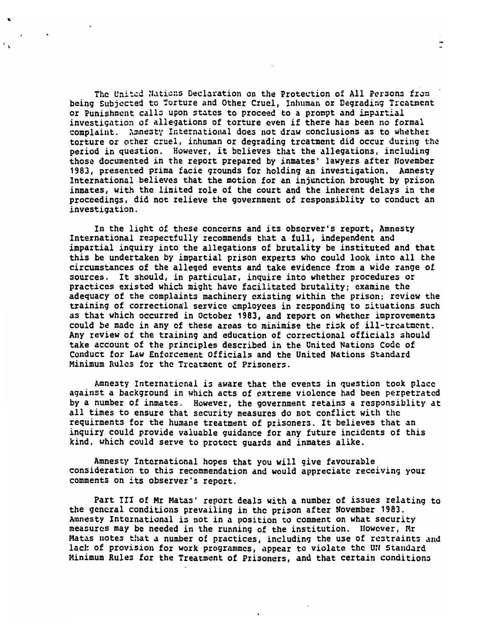The United Nations Declaration on the Protection of All Persons fron being Subjected to Torture and Other Cruel, Inhuman or Degrading Treatment or Punishment calls upon states to proceed to a prompt and impartial investigation of allegations of torture even if there has been no formal complaint. Amnesty International does not draw conclusions as to whether torture or other cruel, inhuman or degrading treatment did occur during the period in question. However, it believes that the allegations, including those documented in the report prepared by inmates' lawyers after November 1983, presented prima facie grounds for holding an investigation. Amnesty International believes that the motion for an injunction brought by prison inmates, with the limited role of the court and the inherent delays in the proceedings, did not relieve the government of responsiblity to conduct an investigation.

 $\ddot{\phantom{a}}$ 

In the light of these concerns and its observer's report, Amnesty International respectfully recommends that a full, independent and impartial inquiry into the allegations of brutality be instituted and that this be undertaken by impartial prison experts who could look into all the circumstances of the alleged events and take evidence from a wide range of sources. It should, in particular, inquire into whether procedures or practices existed which might have facilitated brutality; examine the adequacy of the complaints machinery existing within the prison; review the training of correctional service employees in responding to situations such as that which occurred in October 1983, and report on whether improvements could be made in any of these areas to minimise the risk of ill-treatment. Any review of the training and education of correctional officials should take account of the principles described in the United Nations Code of Conduct for Law Enforcement Officials and the United Nations Standard Minimum Rules for the Treatment of Prisoners.

Amnesty International is aware that the events in question took place against a background in which acts of extreme violence had been perpetrated by a number of inmates. However, the government retains a responsiblity at all times to ensure that security measures do not conflict with the requirments for the humane treatment of prisoners. It believes that an inquiry could provide valuable guidance for any future incidents of this kind, which could serve to protect guards and inmates alike.

Amnesty International hopes that you will give favourable consideration to this recommendation and would appreciate receiving your comments on its observer's report.

Part III of Mr Matas' report deals with a number of issues relating to the general conditions prevailing in the prison after November 1983. Amnesty International is not in a position to comment on what security measures may be needed in the running of the institution. However, Mr Matas notes that a number of practices, including the use of restraints and lack of provision for work programmes, appear to violate the UN Standard Minimum Rules for the Treatment of Prisoners, and that certain conditions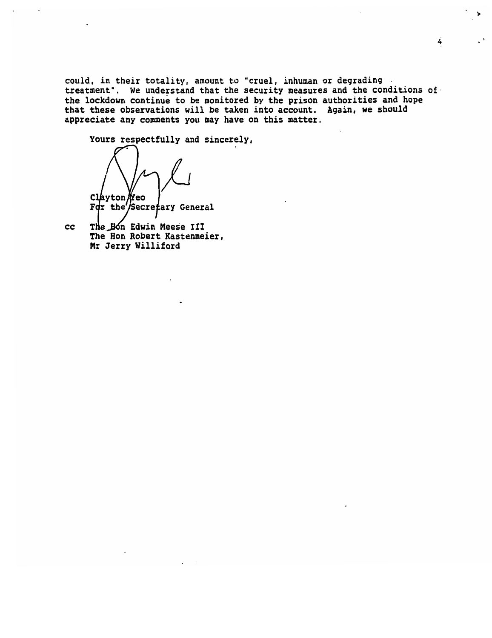could, in their totality, amount to "cruel, inhuman or degrading treatment". We understand that the security measures and the conditions of the lockdown continue to be monitored by the prison authorities and hope that these observations will be taken into account. Again, we should appreciate any comments you may have on this matter.

 $\overline{4}$ 

Yours respectfully and sincerely, Clayton *Neo* rdr the Secretary General

cc The Hon Edwin Meese III The Hon Robert Kastenmeier, Mr Jerry Williford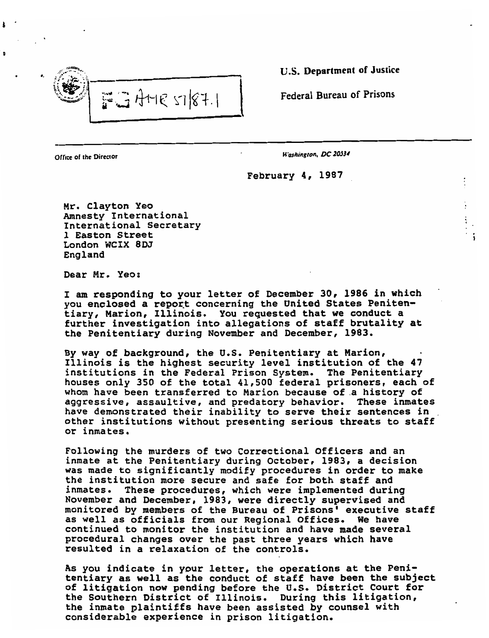

*s'i. .?)£\\ . U.S. Department of Justice*

*Federal Bureau of Prisons*

*Office of the Director Hashington. DC2BS34*

February 4, 1987

Mr. Clayton Yeo Mr. Clayton Yeo Amnesty International International Secretary 1 Easton Street London WCIX 8DJ<br>England

Dear Mr. Yeo:

I am responding to your letter of December 30, 1986 in which you enclosed a report concerning the United States Peniten-<br>tiary, Marion, Illinois. You requested that we conduct a further investigation into allegations of staff brutality at the Penitentiary during November and December, 1983.

By way of background, the U.S. Penitentiary at Marion, Illinois is the highest security level institution of the 47 institutions in the Federal Prison System. The Penitentiary houses only 350 of the total 41,500 federal prisoners, each of<br>whom have been transferred to Marion because of a history of<br>aggressive, assaultive, and predatory behavior. These inmates have demonstrated their inability to serve their sentences in other institutions without presenting serious threats to staff or inmates.

Following the murders of two Correctional Officers and an<br>inmate at the Penitentiary during October, 1983, a decision inmate at the Penitentiary during October, 1983, a decision<br>was made to significantly modify procedures in order to make<br>the institution more secure and safe for both staff and<br>inmates. These procedures, which were impleme monitored by members of the Bureau of Prisons' executive staff<br>as well as officials from our Regional Offices. We have continued to monitor the institution and have made several<br>procedural changes over the past three years which have<br>resulted in a relaxation of the controls.

As you indicate in your letter, the operations at the Peni-<br>tentiary as well as the conduct of staff have been the subject<br>of litigation now pending before the U.S. District Court for<br>the Southern District of Illinois. Dur the inmate plaintiffs have been assisted by counsel with considerable experience in prison litigation.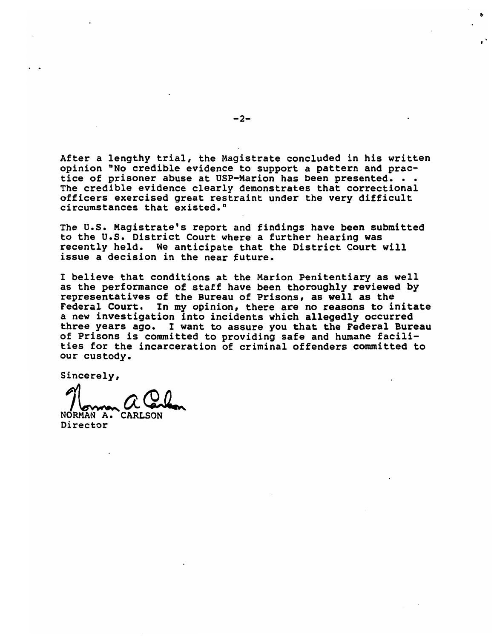After a lengthy trial, the Magistrate concluded in his written opinion "No credible evidence to support a pattern and prac tice of prisoner abuse at USP-Marion has been presented. . . The credible evidence clearly demonstrates that correctional officers exercised great restraint under the very difficult circumstances that existed."

The U.S. Magistrate's report and findings have been submitted to the U.S. District Court where a further hearing was recently held. We anticipate that the District Court will issue a decision in the near future.

I believe that conditions at the Marion Penitentiary as well as the performance of staff have been thoroughly reviewed by representatives of the Bureau of Prisons, as well as the Federal Court. In my opinion, there are no reasons to initate a new investigation into incidents which allegedly occurred three years ago. I want to assure you that the Federal Bureau of Prisons is committed to providing safe and humane facili ties for the incarceration of criminal offenders committed to our custody.

*Sincerely,*

*NORMAN 71 A. A&L CARLSON*

*Director*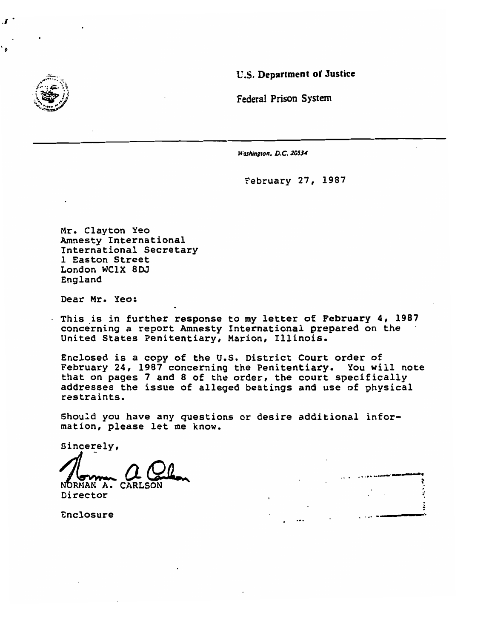

*U.S. Department of Justice*

*Federal Prison System*

*Washington. D.C. 20534*

February 27, 1987

 $\ddot{\phantom{a}}$ 

Mr. Clayton Yeo Amnesty International Amnesty International<br>International Secretary International S 1 Easton Street London WC1X 8DJ<br>England

Dear Mr. Yeo:

This is in further response to my letter of February 4, 1987 concerning a report Amnesty International prepared on the United States Penitentiary, Marion, Illinois.

Enclosed is a copy of the U.S. District Court order of rebruary 24, 1987 concerning the Penitentiary. You will note that on pages 7 and 8 of the order, the court specifically addresses the issue of alleged beatings and use of physical restraints.

Should you have any questions or desire additional infor mould you have any question.

Sincerely,

/www. *CCC* Norman *Cl.* Carlos de la component de la component de la component de la component de la component de la component de la component de la component de la component de la component de la component de la component de la comp

NORMAN A.<br>Director

Enclosure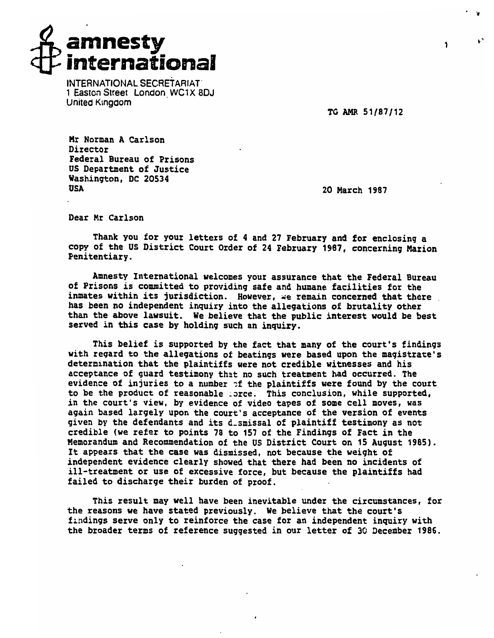

*INTERNATIONAL SECRETARIAT 1 Easton Street London WC1X8DJ United Kingdom*

TG AMR 51/87/12

Mr Norman A Carlson n norman<br>Director Director<br>Federal Bureau of Prisons US Department of Justice Washington, DC 20534 NGSI<br>00-

20 March 1987

Dear Mr Carlson

Thank you for your letters of 4 and 27 February and for enclosing a copy of the US District Court Order of 24 February 1987, concerning Marion Penitentiary.

Amnesty International welcomes your assurance that the Federal Bureau of Prisons is committed to providing safe and humane facilities for the inmates within its jurisdiction. However, we remain concerned that there .<br>has been no independent inquiry into the allegations of brutality other than the above lawsuit. We believe that the public interest would be best served in this case by holding such an inquiry.

This belief is supported by the fact that many of the court's findings with regard to the allegations of beatings were based upon the magistrate's determination that the plaintiffs were not credible witnesses and his acceptance of guard testimony that no such treatment had occurred. The evidence of injuries to a number of the plaintiffs were found by the court to be the product of reasonable .orce. This conclusion, while supported, in the court's view, by evidence of video tapes of some cell moves, was in the court's view, by evidence of video tapes of some cell moves, was<br>again based largely upon the court's acceptance of the version of events given by the defendants and its d\_smissal of plaintiff testimony as not credible (we refer to points 78 to 157 of the Findings of Fact in the Memorandum and Recommendation of the US District Court on 15 August 1985) It appears that the case was dismissed, not because the weight of independent evidence clearly showed that there had been no incidents of ill-treatment or use of excessive force, but because the plaintiffs had failed to discharge their burden of proof.

This result may well have been inevitable under the circumstances, for the reasons we have stated previously. We believe that the court's findings serve only to reinforce the case for an independent inquiry with the broader terms of reference suggested in our letter of 30 December 1986.

1

*' &*

 $\mathbf{r}$